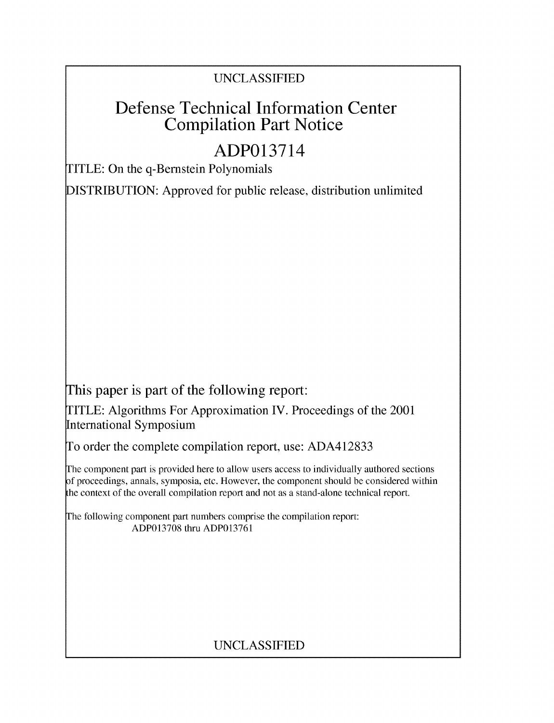## **UNCLASSIFIED**

# **Defense Technical Information Center Compilation Part Notice**

# **ADP013714**

TITLE: On the q-Bernstein Polynomials

**DISTRIBUTION:** Approved for public release, distribution unlimited

This paper is part of the following report:

TITLE: Algorithms For Approximation IV. Proceedings of the 2001 International Symposium

**To** order the complete compilation report, use: **ADA412833**

**The** component part is provided here to allow users access to individually authored sections **f** proceedings, annals, symposia, etc. However, the component should be considered within the context of the overall compilation report and not as a stand-alone technical report.

**The** following component part numbers comprise the compilation report: **ADP013708** thru **ADP013761**

## **UNCLASSIFIED**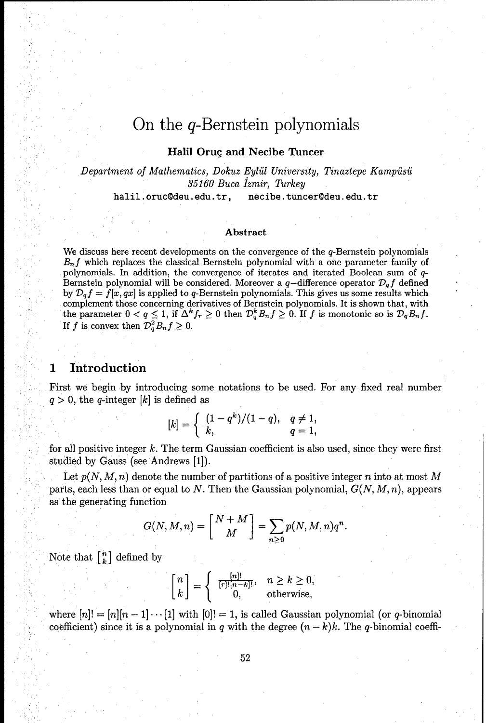### On the q-Bernstein polynomials

#### **Halil Oruc and Necibe Tuncer**

*Department of Mathematics, Dokuz Eyliil University, Tinaztepe Kampisii 35160 Buca fzmir, Thrkey* halil.oruc@deu.edu.tr, necibe.tuncer@deu.edu.tr

### Abstract

We discuss here recent developments on the convergence of the  $q$ -Bernstein polynomials B<sub>n</sub>f which replaces the classical Bernstein polynomial with a one parameter family of polynomials. In addition, the convergence of iterates and iterated Boolean sum of **q-**Bernstein polynomial will be considered. Moreover a  $q$ -difference operator  $\mathcal{D}_q f$  defined by  $\mathcal{D}_q f = f[x, qx]$  is applied to q-Bernstein polynomials. This gives us some results which complement those concerning derivatives of Bernstein polynomials. It is shown that, with the parameter  $0 < q \leq 1$ , if  $\Delta^k f_r \geq 0$  then  $\mathcal{D}_q^k B_n f \geq 0$ . If  $f$  is monotonic so is  $\mathcal{D}_q B_n f$ . If *f* is convex then  $\mathcal{D}_a^2 B_n f \geq 0$ .

#### **1 Introduction**

First we begin **by** introducing some notations to be used. For any fixed real number  $q > 0$ , the *q*-integer [k] is defined as

$$
[k] = \begin{cases} (1 - q^k)/(1 - q), & q \neq 1, \\ k, & q = 1, \end{cases}
$$

for all positive integer *k.* The term Gaussian coefficient is also used, since they were first studied by Gauss (see Andrews [1]).

Let  $p(N, M, n)$  denote the number of partitions of a positive integer *n* into at most M parts, each less than or equal to *N*. Then the Gaussian polynomial,  $G(N, M, n)$ , appears as the generating function

$$
G(N, M, n) = \begin{bmatrix} N+M \\ M \end{bmatrix} = \sum_{n \geq 0} p(N, M, n) q^n.
$$

Note that  $\begin{bmatrix} n \\ k \end{bmatrix}$  defined by

$$
\begin{bmatrix} n \\ k \end{bmatrix} = \begin{cases} \frac{[n]!}{[r]! [n-k]!}, & n \ge k \ge 0, \\ 0, & \text{otherwise}, \end{cases}
$$

where  $[n] = [n][n-1] \cdots [1]$  with  $[0]! = 1$ , is called Gaussian polynomial (or q-binomial coefficient) since it is a polynomial in q with the degree  $(n - k)k$ . The q-binomial coeffi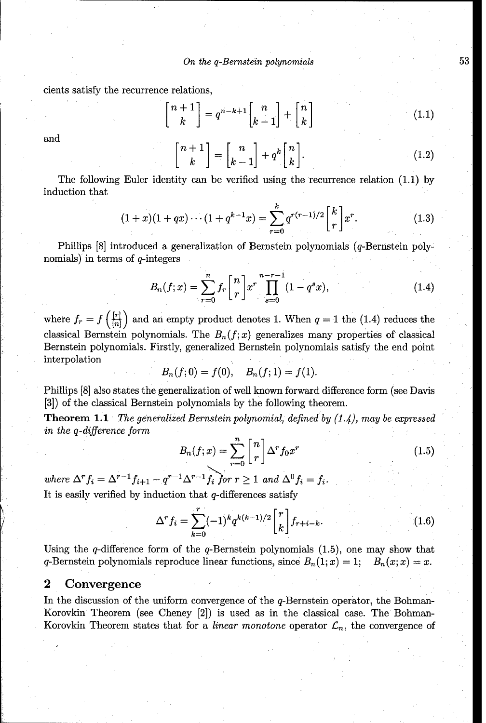*On the q-Bernstein polynomials* **53**

cients satisfy the recurrence relations,

$$
\begin{bmatrix} n+1 \\ k \end{bmatrix} = q^{n-k+1} \begin{bmatrix} n \\ k-1 \end{bmatrix} + \begin{bmatrix} n \\ k \end{bmatrix}
$$
 (1.1)

and

$$
\begin{bmatrix} n+1 \\ k \end{bmatrix} = \begin{bmatrix} n \\ k-1 \end{bmatrix} + q^k \begin{bmatrix} n \\ k \end{bmatrix}.
$$
 (1.2)

The following Euler identity can be verified using the recurrence relation (1.1) by induction that

$$
(1+x)(1+qx)\cdots(1+q^{k-1}x) = \sum_{r=0}^{k} q^{r(r-1)/2} \begin{bmatrix} k \\ r \end{bmatrix} x^r.
$$
 (1.3)

Phillips [8] introduced a generalization of Bernstein polynomials (q-Bernstein polynomials) in terms of  $q$ -integers

$$
B_n(f;x) = \sum_{r=0}^n f_r \binom{n}{r} x^r \prod_{s=0}^{n-r-1} (1 - q^s x), \qquad (1.4)
$$

where  $f_r = f\left(\frac{[r]}{[n]}\right)$  and an empty product denotes 1. When  $q = 1$  the (1.4) reduces the classical Bernstein polynomials. The  $B_n(f; x)$  generalizes many properties of classical Bernstein polynomials. Firstly, generalized Bernstein polynomials satisfy the end point interpolation

 $B_n(f; 0) = f(0), \quad B_n(f; 1) = f(1).$ 

Phillips [8] also states the generalization of well known forward difference form (see Davis **[3])** of the classical Bernstein polynomials by the following theorem.

Theorem **1.1** *The generalized Bernstein polynomial, defined by (1.4), may be expressed in the q-difference form*

$$
B_n(f;x) = \sum_{r=0}^n \binom{n}{r} \Delta^r f_0 x^r \tag{1.5}
$$

*where*  $\Delta^r f_i = \Delta^{r-1} f_{i+1} - q^{r-1} \Delta^{r-1} f_i$  for  $r \ge 1$  and  $\Delta^0 f_i = f_i$ . It is easily verified by induction that  $q$ -differences satisfy

$$
\Delta^r f_i = \sum_{k=0}^r (-1)^k q^{k(k-1)/2} \begin{bmatrix} r \\ k \end{bmatrix} f_{r+i-k}.
$$
 (1.6)

Using the  $q$ -difference form of the  $q$ -Bernstein polynomials  $(1.5)$ , one may show that q-Bernstein polynomials reproduce linear functions, since  $B_n(1; x) = 1$ ;  $B_n(x; x) = x$ .

#### **2 Convergence**

In the discussion of the uniform convergence of the q-Bernstein operator, the Bohman-Korovkin Theorem (see Cheney [2]) is used as in the classical case. The Bohman-Korovkin Theorem states that for a *linear monotone* operator  $\mathcal{L}_n$ , the convergence of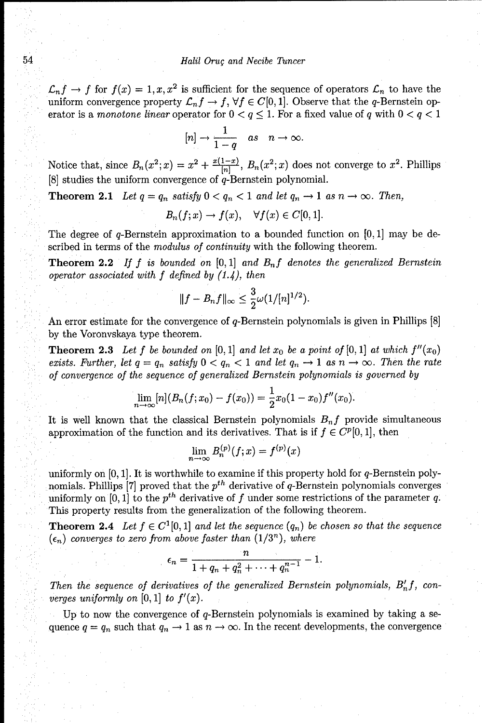#### 54 *Halil Orug and Necibe Tuncer*

 $\mathcal{L}_n f \to f$  for  $f(x) = 1, x, x^2$  is sufficient for the sequence of operators  $\mathcal{L}_n$  to have the uniform convergence property  $\mathcal{L}_n f \to f$ ,  $\forall f \in C[0,1]$ . Observe that the q-Bernstein operator is a *monotone linear* operator for  $0 < q \leq 1$ . For a fixed value of q with  $0 < q < 1$ 

$$
[n]\to \frac{1}{1-q} \quad as \quad n\to \infty.
$$

Notice that, since  $B_n(x^2; x) = x^2 + \frac{x(1-x)}{|n|}$ ,  $B_n(x^2; x)$  does not converge to  $x^2$ . Phillips  $[8]$  studies the uniform convergence of  $q$ -Bernstein polynomial.

**Theorem 2.1** Let  $q = q_n$  satisfy  $0 < q_n < 1$  and let  $q_n \to 1$  as  $n \to \infty$ . Then,

$$
B_n(f; x) \to f(x), \quad \forall f(x) \in C[0, 1].
$$

The degree of q-Bernstein approximation to a bounded function on  $[0, 1]$  may be described in terms of the *modulus of continuity* with the following theorem.

Theorem 2.2 *If f is bounded on* **[0,** 1] *and Bnf denotes the generalized Bernstein operator associated with f defined by (1.4), then*

$$
||f - B_n f||_{\infty} \leq \frac{3}{2} \omega(1/ [n]^{1/2}).
$$

An error estimate for the convergence of q-Bernstein polynomials is given in Phillips **[8]** by the Voronvskaya type theorem.

**Theorem 2.3** Let f be bounded on  $[0,1]$  and let  $x_0$  be a point of  $[0,1]$  at which  $f''(x_0)$ *exists. Further, let*  $q = q_n$  *satisfy*  $0 < q_n < 1$  *and let*  $q_n \to 1$  *as*  $n \to \infty$ . Then the rate *of convergence of the sequence of generalized Bernstein polynomials is governed by*

$$
\lim_{n\to\infty} [n](B_n(f;x_0)-f(x_0))=\frac{1}{2}x_0(1-x_0)f''(x_0).
$$

It is well known that the classical Bernstein polynomials  $B_n f$  provide simultaneous approximation of the function and its derivatives. That is if  $f \in C^p[0,1]$ , then

$$
\lim_{n\to\infty}B_n^{(p)}(f;x)=f^{(p)}(x)
$$

uniformly on  $[0, 1]$ . It is worthwhile to examine if this property hold for q-Bernstein polynomials. Phillips [7] proved that the *pth* derivative of q-Bernstein polynomials converges uniformly on  $[0, 1]$  to the  $p^{th}$  derivative of f under some restrictions of the parameter q. This property results from the generalization of the following theorem.

**Theorem 2.4** Let  $f \in C^1[0,1]$  and let the sequence  $(q_n)$  be chosen so that the sequence  $(\epsilon_n)$  converges to zero from above faster than  $(1/3^n)$ , where

$$
\epsilon_n=\frac{n}{1+q_n+q_n^2+\cdots+q_n^{n-1}}-1.
$$

Then the sequence of derivatives of the generalized Bernstein polynomials,  $B'_n f$ , con*verges uniformly on* [0, 1] *to*  $f'(x)$ .

Up to now the convergence of  $q$ -Bernstein polynomials is examined by taking a sequence  $q = q_n$  such that  $q_n \to 1$  as  $n \to \infty$ . In the recent developments, the convergence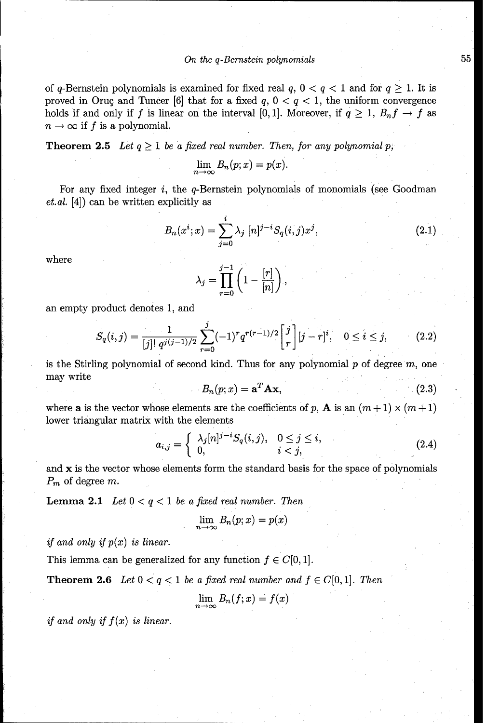#### *On the q-Bernstein polynomials* **55**

of q-Bernstein polynomials is examined for fixed real  $q$ ,  $0 < q < 1$  and for  $q \ge 1$ . It is proved in Oruç and Tuncer [6] that for a fixed  $q$ ,  $0 < q < 1$ , the uniform convergence holds if and only if *f* is linear on the interval [0, 1]. Moreover, if  $q \ge 1$ ,  $B_nf \to f$  as  $n \to \infty$  if f is a polynomial.

**Theorem 2.5** Let  $q \geq 1$  be a fixed real number. Then, for any polynomial p.

$$
\lim_{n\to\infty}B_n(p;x)=p(x).
$$

For any fixed integer *i*, the q-Bernstein polynomials of monomials (see Goodman et. *al.* [4]) can be written explicitly as

$$
B_n(x^i; x) = \sum_{j=0}^i \lambda_j \ [n]^{j-i} S_q(i, j) x^j, \tag{2.1}
$$

where

$$
\lambda_j = \prod_{r=0}^{j-1} \left( 1 - \frac{[r]}{[n]} \right),
$$

an empty product denotes 1, and

$$
S_q(i,j) = \frac{1}{[j]! \; q^{j(j-1)/2}} \sum_{r=0}^j (-1)^r q^{r(r-1)/2} \begin{bmatrix} j \\ r \end{bmatrix} [j-r]^i, \quad 0 \le i \le j,
$$
 (2.2)

is the Stirling polynomial of second kind. Thus for any polynomial  $p$  of degree  $m$ , one may write

$$
B_n(p;x) = \mathbf{a}^T \mathbf{A} \mathbf{x},\tag{2.3}
$$

where a is the vector whose elements are the coefficients of p, A is an  $(m+1) \times (m+1)$ lower triangular matrix with the elements

$$
a_{i,j} = \begin{cases} \lambda_j [n]^{j-i} S_q(i,j), & 0 \le j \le i, \\ 0, & i < j, \end{cases}
$$
 (2.4)

and  $x$  is the vector whose elements form the standard basis for the space of polynomials *Pm* of degree *m.*

Lemma 2.1 *Let 0 < q < 1 be a fixed real number. Then*

$$
\lim_{n \to \infty} B_n(p; x) = p(x)
$$

*if and only if p(x) is linear.*

This lemma can be generalized for any function  $f \in C[0, 1]$ .

**Theorem 2.6** Let  $0 < q < 1$  be a fixed real number and  $f \in C[0,1]$ . Then

$$
\lim_{n\to\infty}B_n(f;x)=f(x)
$$

*if and only if*  $f(x)$  *is linear.*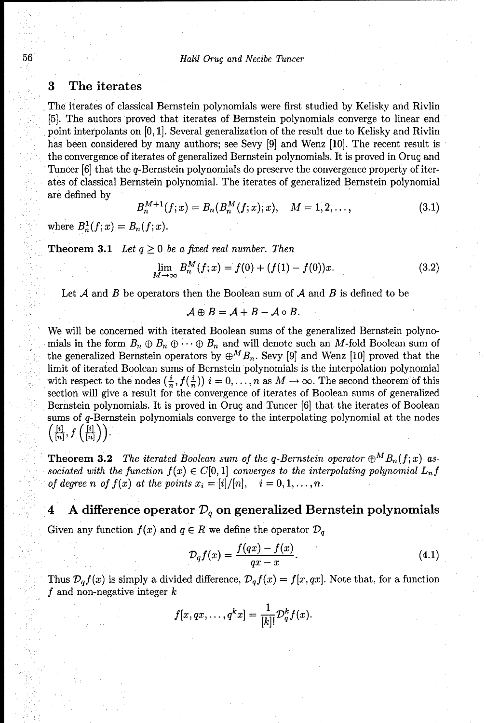#### **3** The iterates

The iterates of classical Bernstein polynomials were first studied by Kelisky and Rivlin [5]. The authors proved that iterates of Bernstein polynomials converge to linear end point interpolants on [0, **1].** Several generalization of the result due to Kelisky and Rivlin has been considered by many authors; see Sevy [9] and Wenz [10]. The recent result is the convergence of iterates of generalized Bernstein polynomials. It is proved in Oruç and Tuncer **[6]** that the q-Bernstein polynomials do preserve the convergence property of iterates of classical Bernstein polynomial. The iterates of generalized Bernstein polynomial are defined by

$$
B_n^{M+1}(f;x) = B_n(B_n^M(f;x);x), \quad M = 1,2,\ldots,
$$
\n(3.1)

where  $B_n^1(f; x) = B_n(f; x)$ .

**Theorem 3.1** *Let*  $q \geq 0$  *be a fixed real number. Then* 

$$
\lim_{M \to \infty} B_n^M(f; x) = f(0) + (f(1) - f(0))x.
$$
\n(3.2)

Let *A* and *B* be operators then the Boolean sum of *A* and *B* is defined to be

$$
\mathcal{A}\oplus B=\mathcal{A}+B-\mathcal{A}\circ B.
$$

We will be concerned with iterated Boolean sums of the generalized Bernstein polynomials in the form  $B_n \oplus B_n \oplus \cdots \oplus B_n$  and will denote such an M-fold Boolean sum of the generalized Bernstein operators by  $\oplus^M B_n$ . Sevy [9] and Wenz [10] proved that the limit of iterated Boolean sums of Bernstein polynomials is the interpolation polynomial with respect to the nodes  $(\frac{i}{n}, f(\frac{i}{n}))$   $i = 0, \ldots, n$  as  $M \to \infty$ . The second theorem of this section will give a result for the convergence of iterates of Boolean sums of generalized Bernstein polynomials. It is proved in Oruç and Tuncer [6] that the iterates of Boolean sums of q-Bernstein polynomials converge to the interpolating polynomial at the nodes  $\left(\frac{[i]}{[n]},f\left(\frac{[i]}{[n]}\right)\right).$ 

**Theorem 3.2** *The iterated Boolean sum of the q-Bernstein operator*  $\oplus^M B_n(f; x)$  associated with the function  $f(x) \in C[0,1]$  converges to the interpolating polynomial  $L_n f$ *of degree n of f(x) at the points*  $x_i = [i]/[n], \quad i = 0, 1, \ldots, n$ *.* 

### 4 A difference operator  $\mathcal{D}_q$  on generalized Bernstein polynomials

Given any function  $f(x)$  and  $q \in R$  we define the operator  $\mathcal{D}_q$ 

$$
\mathcal{D}_q f(x) = \frac{f(qx) - f(x)}{qx - x}.\tag{4.1}
$$

Thus  $\mathcal{D}_q f(x)$  is simply a divided difference,  $\mathcal{D}_q f(x) = f(x, qx)$ . Note that, for a function *f* and non-negative integer *k*

$$
f[x,qx,\ldots,q^k x]=\frac{1}{[k]!}\mathcal{D}_q^kf(x).
$$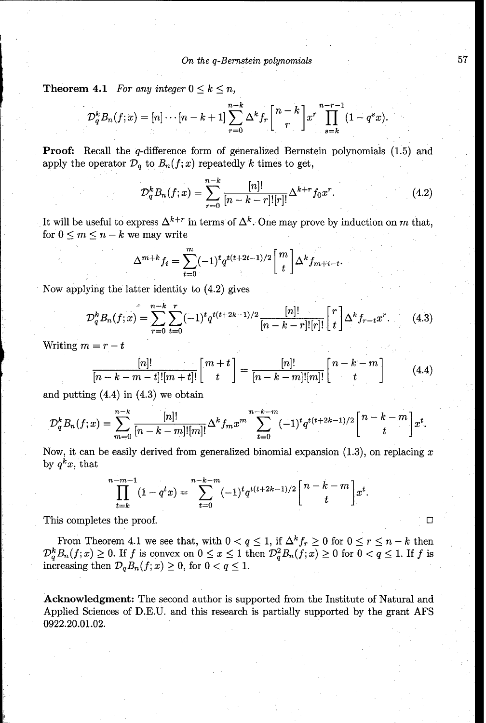**Theorem 4.1** *For any integer*  $0 \leq k \leq n$ ,

$$
\mathcal{D}_q^k B_n(f; x) = [n] \cdots [n-k+1] \sum_{r=0}^{n-k} \Delta^k f_r \left[ \begin{array}{c} n-k \\ r \end{array} \right] x^r \prod_{s=k}^{n-r-1} (1 - q^s x)
$$

Proof: Recall the q-difference form of generalized Bernstein polynomials (1.5) and apply the operator  $\mathcal{D}_q$  to  $B_n(f; x)$  repeatedly k times to get,

$$
\mathcal{D}_q^k B_n(f; x) = \sum_{r=0}^{n-k} \frac{[n]!}{[n-k-r]![r]!} \Delta^{k+r} f_0 x^r.
$$
 (4.2)

It will be useful to express  $\Delta^{k+r}$  in terms of  $\Delta^k$ . One may prove by induction on *m* that, for  $0 \leq m \leq n - k$  we may write

$$
\Delta^{m+k} f_i = \sum_{t=0}^m (-1)^t q^{t(t+2t-1)/2} \begin{bmatrix} m \\ t \end{bmatrix} \Delta^k f_{m+i-t}
$$

Now applying the latter identity to (4.2) gives

$$
\mathcal{D}_q^k B_n(f; x) = \sum_{r=0}^{n-k} \sum_{t=0}^r (-1)^t q^{t(t+2k-1)/2} \frac{[n]!}{[n-k-r]! [r]!} \begin{bmatrix} r \\ t \end{bmatrix} \Delta^k f_{r-t} x^r.
$$
 (4.3)

Writing  $m = r - t$ 

$$
\frac{[n]!}{[n-k-m-t]![m+t]!}\begin{bmatrix}m+t\\t\end{bmatrix} = \frac{[n]!}{[n-k-m]![m]!}\begin{bmatrix}n-k-m\\t\end{bmatrix}
$$
(4.4)

and putting  $(4.4)$  in  $(4.3)$  we obtain

$$
\mathcal{D}_q^k B_n(f;x) = \sum_{m=0}^{n-k} \frac{[n]!}{[n-k-m]![m]!} \Delta^k f_m x^m \sum_{t=0}^{n-k-m} (-1)^t q^{t(t+2k-1)/2} \begin{bmatrix} n-k-m \\ t \end{bmatrix} x^t.
$$

Now, it can be easily derived from generalized binomial expansion  $(1.3)$ , on replacing x by  $q^k x$ , that

$$
\prod_{t=k}^{n-m-1} (1 - q^t x) = \sum_{t=0}^{n-k-m} (-1)^t q^{t(t+2k-1)/2} \begin{bmatrix} n-k-m \\ t \end{bmatrix} x^t
$$

This completes the proof.

From Theorem 4.1 we see that, with  $0 < q \le 1$ , if  $\Delta^k f_r \ge 0$  for  $0 \le r \le n - k$  then From Theorem 4.1 we see that, with  $0 \le q \le 1$ , if  $\Delta^n f_r \ge 0$  for  $0 \le r \le n - \kappa$  then  $D^b_{\sigma} B_n(f; x) \ge 0$ . If *f* is convex on  $0 \le x \le 1$  then  $D^2_{\sigma} B_n(f; x) \ge 0$  for  $0 < q \le 1$ . If *f* is increasing then  $\mathcal{D}_{q}B_{n}(f; x) \geq 0$ , for  $0 < q \leq 1$ .

Acknowledgment: The second author is supported from the Institute of Natural and Applied Sciences of D.E.U. and this research is partially supported by the grant AFS 0922.20.01.02.